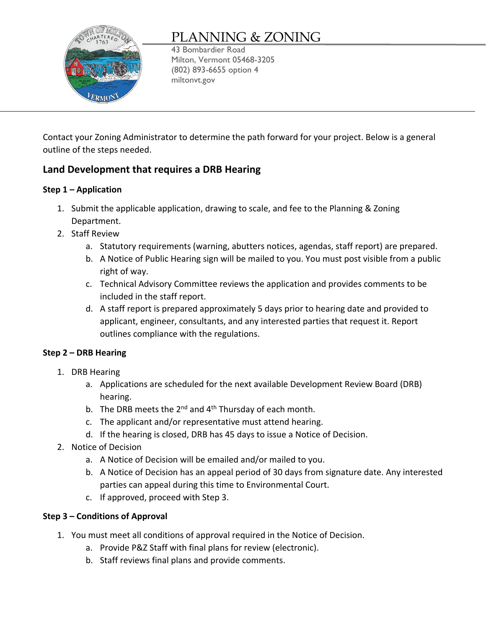

# PLANNING & ZONING

43 Bombardier Road Milton, Vermont 05468-3205 (802) 893-6655 option 4 miltonvt.gov

Contact your Zoning Administrator to determine the path forward for your project. Below is a general outline of the steps needed.

## **Land Development that requires a DRB Hearing**

## **Step 1 – Application**

- 1. Submit the applicable application, drawing to scale, and fee to the Planning & Zoning Department.
- 2. Staff Review
	- a. Statutory requirements (warning, abutters notices, agendas, staff report) are prepared.
	- b. A Notice of Public Hearing sign will be mailed to you. You must post visible from a public right of way.
	- c. Technical Advisory Committee reviews the application and provides comments to be included in the staff report.
	- d. A staff report is prepared approximately 5 days prior to hearing date and provided to applicant, engineer, consultants, and any interested parties that request it. Report outlines compliance with the regulations.

## **Step 2 – DRB Hearing**

- 1. DRB Hearing
	- a. Applications are scheduled for the next available Development Review Board (DRB) hearing.
	- b. The DRB meets the  $2^{nd}$  and  $4^{th}$  Thursday of each month.
	- c. The applicant and/or representative must attend hearing.
	- d. If the hearing is closed, DRB has 45 days to issue a Notice of Decision.
- 2. Notice of Decision
	- a. A Notice of Decision will be emailed and/or mailed to you.
	- b. A Notice of Decision has an appeal period of 30 days from signature date. Any interested parties can appeal during this time to Environmental Court.
	- c. If approved, proceed with Step 3.

## **Step 3 – Conditions of Approval**

- 1. You must meet all conditions of approval required in the Notice of Decision.
	- a. Provide P&Z Staff with final plans for review (electronic).
	- b. Staff reviews final plans and provide comments.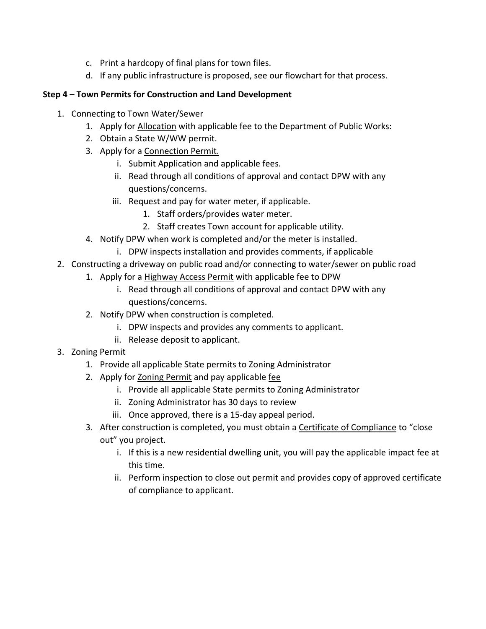- c. Print a hardcopy of final plans for town files.
- d. If any public infrastructure is proposed, see our flowchart for that process.

### **Step 4 – Town Permits for Construction and Land Development**

- 1. Connecting to Town Water/Sewer
	- 1. Apply for [Allocation](http://miltonvt.gov/DocumentCenter/View/117/Allocation-Application-October-2020-PDF) with applicable fee to the Department of Public Works:
	- 2. Obtain a State W/WW permit.
	- 3. Apply for a [Connection Permit.](http://miltonvt.gov/DocumentCenter/View/115/Water-Wastewater-Connection-Permit2020-PDF)
		- i. Submit Application and applicable fees.
		- ii. Read through all conditions of approval and contact DPW with any questions/concerns.
		- iii. Request and pay for water meter, if applicable.
			- 1. Staff orders/provides water meter.
			- 2. Staff creates Town account for applicable utility.
	- 4. Notify DPW when work is completed and/or the meter is installed.
		- i. DPW inspects installation and provides comments, if applicable
- 2. Constructing a driveway on public road and/or connecting to water/sewer on public road
	- 1. Apply for a [Highway Access Permit](http://miltonvt.gov/DocumentCenter/View/56/Highway-Access-Permit-Application-PDF) with applicable fee to DPW
		- i. Read through all conditions of approval and contact DPW with any questions/concerns.
	- 2. Notify DPW when construction is completed.
		- i. DPW inspects and provides any comments to applicant.
		- ii. Release deposit to applicant.
- 3. Zoning Permit
	- 1. Provide all applicable State permits to Zoning Administrator
	- 2. Apply for [Zoning Permit](http://miltonvt.gov/DocumentCenter/View/1206/Zoning-Permit-Application-PDF) and pay applicable [fee](http://miltonvt.gov/DocumentCenter/View/1205/Planning-and-Zoning-Fee-Schedule-PDF)
		- i. Provide all applicable State permits to Zoning Administrator
		- ii. Zoning Administrator has 30 days to review
		- iii. Once approved, there is a 15-day appeal period.
	- 3. After construction is completed, you must obtain a [Certificate of Compliance](http://miltonvt.gov/DocumentCenter/View/268/Certificate-Of-Compliance-Application-PDF) to "close out" you project.
		- i. If this is a new residential dwelling unit, you will pay the applicable impact fee at this time.
		- ii. Perform inspection to close out permit and provides copy of approved certificate of compliance to applicant.